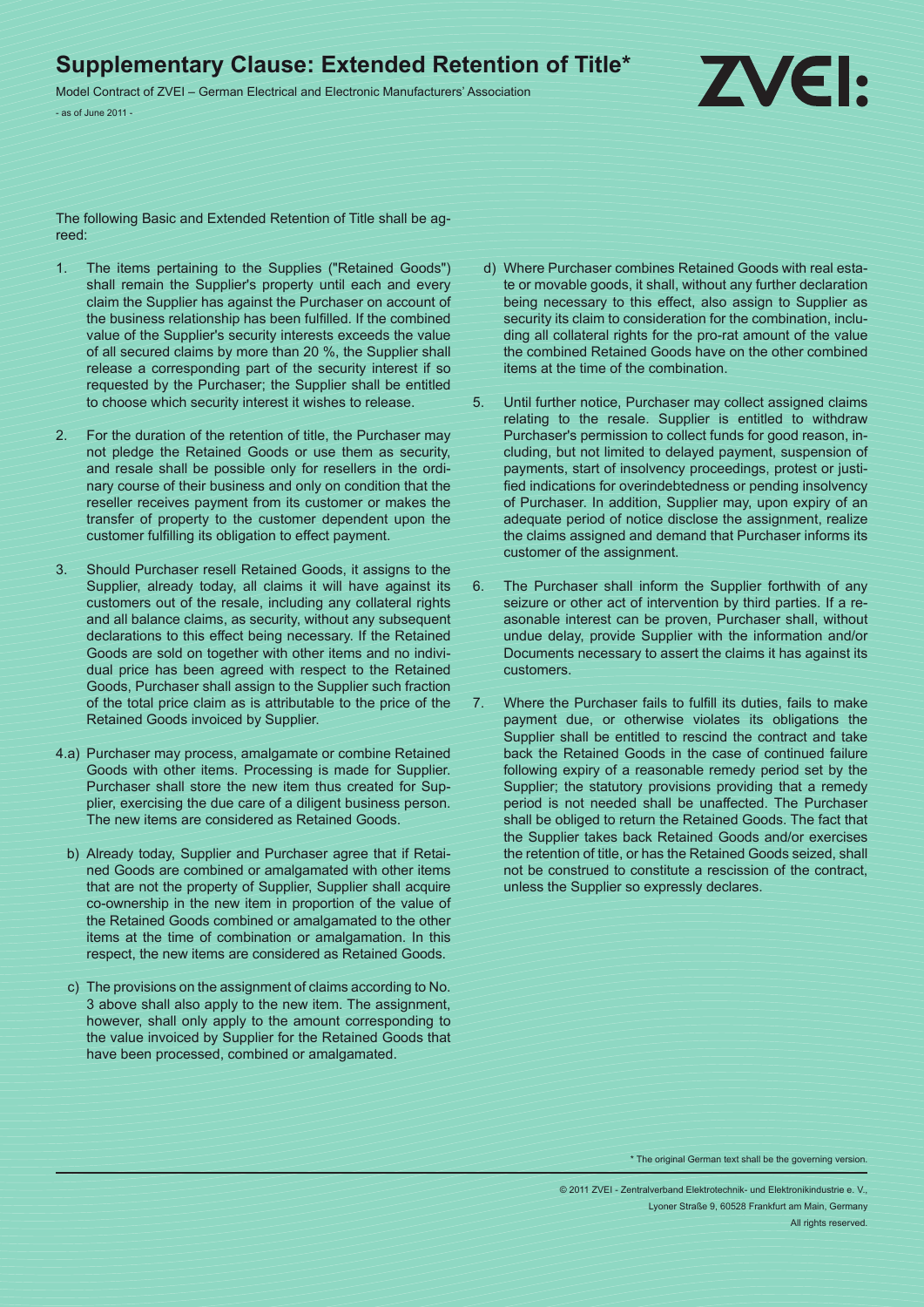## **Supplementary Clause: Extended Retention of Title\***

Model Contract of ZVEI – German Electrical and Electronic Manufacturers' Association - as of June 2011 -



The following Basic and Extended Retention of Title shall be agreed:

- 1. The items pertaining to the Supplies ("Retained Goods") shall remain the Supplier's property until each and every claim the Supplier has against the Purchaser on account of the business relationship has been fulfilled. If the combined value of the Supplier's security interests exceeds the value of all secured claims by more than 20 %, the Supplier shall release a corresponding part of the security interest if so requested by the Purchaser; the Supplier shall be entitled to choose which security interest it wishes to release.
- 2. For the duration of the retention of title, the Purchaser may not pledge the Retained Goods or use them as security, and resale shall be possible only for resellers in the ordinary course of their business and only on condition that the reseller receives payment from its customer or makes the transfer of property to the customer dependent upon the customer fulfilling its obligation to effect payment.
- 3. Should Purchaser resell Retained Goods, it assigns to the Supplier, already today, all claims it will have against its customers out of the resale, including any collateral rights and all balance claims, as security, without any subsequent declarations to this effect being necessary. If the Retained Goods are sold on together with other items and no individual price has been agreed with respect to the Retained Goods, Purchaser shall assign to the Supplier such fraction of the total price claim as is attributable to the price of the Retained Goods invoiced by Supplier.
- 4.a) Purchaser may process, amalgamate or combine Retained Goods with other items. Processing is made for Supplier. Purchaser shall store the new item thus created for Supplier, exercising the due care of a diligent business person. The new items are considered as Retained Goods.
	- b) Already today, Supplier and Purchaser agree that if Retained Goods are combined or amalgamated with other items that are not the property of Supplier, Supplier shall acquire co-ownership in the new item in proportion of the value of the Retained Goods combined or amalgamated to the other items at the time of combination or amalgamation. In this respect, the new items are considered as Retained Goods.
	- c) The provisions on the assignment of claims according to No. 3 above shall also apply to the new item. The assignment, however, shall only apply to the amount corresponding to the value invoiced by Supplier for the Retained Goods that have been processed, combined or amalgamated.
- d) Where Purchaser combines Retained Goods with real estate or movable goods, it shall, without any further declaration being necessary to this effect, also assign to Supplier as security its claim to consideration for the combination, including all collateral rights for the pro-rat amount of the value the combined Retained Goods have on the other combined items at the time of the combination.
- 5. Until further notice, Purchaser may collect assigned claims relating to the resale. Supplier is entitled to withdraw Purchaser's permission to collect funds for good reason, including, but not limited to delayed payment, suspension of payments, start of insolvency proceedings, protest or justified indications for overindebtedness or pending insolvency of Purchaser. In addition, Supplier may, upon expiry of an adequate period of notice disclose the assignment, realize the claims assigned and demand that Purchaser informs its customer of the assignment.
- 6. The Purchaser shall inform the Supplier forthwith of any seizure or other act of intervention by third parties. If a reasonable interest can be proven, Purchaser shall, without undue delay, provide Supplier with the information and/or Documents necessary to assert the claims it has against its customers.
- 7. Where the Purchaser fails to fulfill its duties, fails to make payment due, or otherwise violates its obligations the Supplier shall be entitled to rescind the contract and take back the Retained Goods in the case of continued failure following expiry of a reasonable remedy period set by the Supplier; the statutory provisions providing that a remedy period is not needed shall be unaffected. The Purchaser shall be obliged to return the Retained Goods. The fact that the Supplier takes back Retained Goods and/or exercises the retention of title, or has the Retained Goods seized, shall not be construed to constitute a rescission of the contract, unless the Supplier so expressly declares.

\* The original German text shall be the governing version.